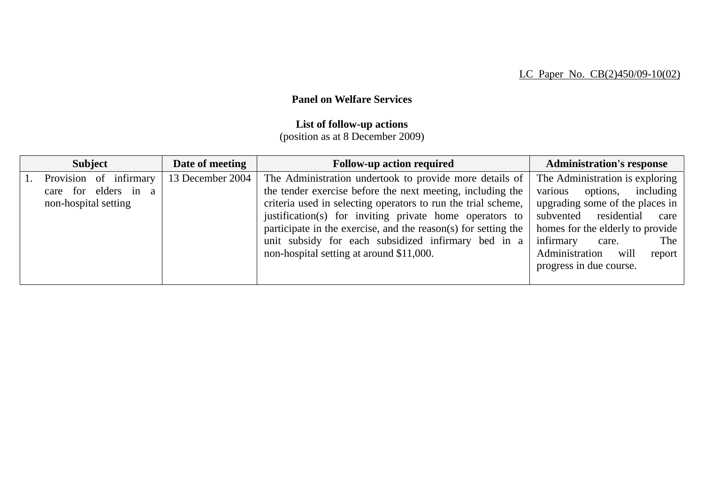## **Panel on Welfare Services**

## **List of follow-up actions**

(position as at 8 December 2009)

| <b>Subject</b>                                                         | Date of meeting  | <b>Follow-up action required</b>                                                                                                                                                                                                                                                                                                                                                                                       | <b>Administration's response</b>                                                                                                                                                                                                                                  |
|------------------------------------------------------------------------|------------------|------------------------------------------------------------------------------------------------------------------------------------------------------------------------------------------------------------------------------------------------------------------------------------------------------------------------------------------------------------------------------------------------------------------------|-------------------------------------------------------------------------------------------------------------------------------------------------------------------------------------------------------------------------------------------------------------------|
| Provision of infirmary<br>care for elders in a<br>non-hospital setting | 13 December 2004 | The Administration undertook to provide more details of<br>the tender exercise before the next meeting, including the<br>criteria used in selecting operators to run the trial scheme,<br>justification(s) for inviting private home operators to<br>participate in the exercise, and the reason(s) for setting the<br>unit subsidy for each subsidized infirmary bed in a<br>non-hospital setting at around \$11,000. | The Administration is exploring<br>various<br>options, including<br>upgrading some of the places in<br>subvented residential care<br>homes for the elderly to provide<br>infirmary<br>The<br>care.<br>Administration<br>will<br>report<br>progress in due course. |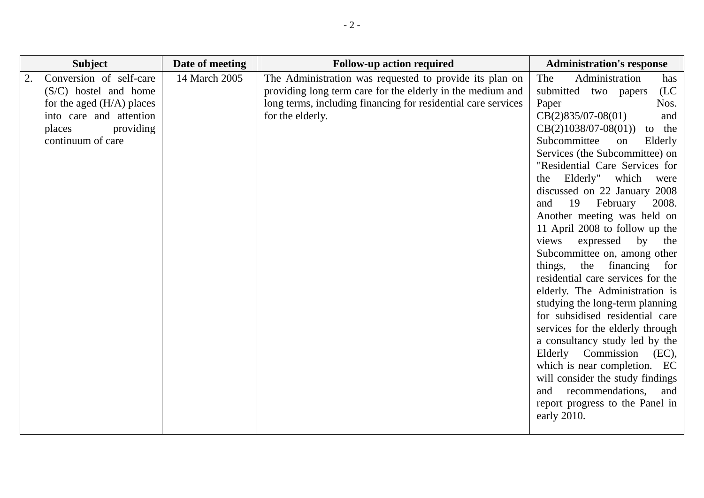| <b>Subject</b>                                                                                                                                           | Date of meeting | <b>Follow-up action required</b>                                                                                                                                                                           | <b>Administration's response</b>                                                                                                                                                                                                                                                                                                                                                                                                                                                                                                                                                                                                                                                                                                                                                                                                                                                                                                             |
|----------------------------------------------------------------------------------------------------------------------------------------------------------|-----------------|------------------------------------------------------------------------------------------------------------------------------------------------------------------------------------------------------------|----------------------------------------------------------------------------------------------------------------------------------------------------------------------------------------------------------------------------------------------------------------------------------------------------------------------------------------------------------------------------------------------------------------------------------------------------------------------------------------------------------------------------------------------------------------------------------------------------------------------------------------------------------------------------------------------------------------------------------------------------------------------------------------------------------------------------------------------------------------------------------------------------------------------------------------------|
| Conversion of self-care<br>$(S/C)$ hostel and home<br>for the aged $(H/A)$ places<br>into care and attention<br>providing<br>places<br>continuum of care | 14 March 2005   | The Administration was requested to provide its plan on<br>providing long term care for the elderly in the medium and<br>long terms, including financing for residential care services<br>for the elderly. | The<br>Administration<br>has<br>(LC)<br>submitted<br>two papers<br>Paper<br>Nos.<br>$CB(2)835/07-08(01)$<br>and<br>$CB(2)1038/07-08(01))$<br>to the<br>Subcommittee<br>on<br>Elderly<br>Services (the Subcommittee) on<br>"Residential Care Services for<br>Elderly" which<br>the<br>were<br>discussed on 22 January 2008<br>19<br>February<br>2008.<br>and<br>Another meeting was held on<br>11 April 2008 to follow up the<br>expressed<br>views<br>by<br>the<br>Subcommittee on, among other<br>things, the<br>financing<br>for<br>residential care services for the<br>elderly. The Administration is<br>studying the long-term planning<br>for subsidised residential care<br>services for the elderly through<br>a consultancy study led by the<br>Elderly Commission<br>(EC),<br>which is near completion. EC<br>will consider the study findings<br>recommendations,<br>and<br>and<br>report progress to the Panel in<br>early 2010. |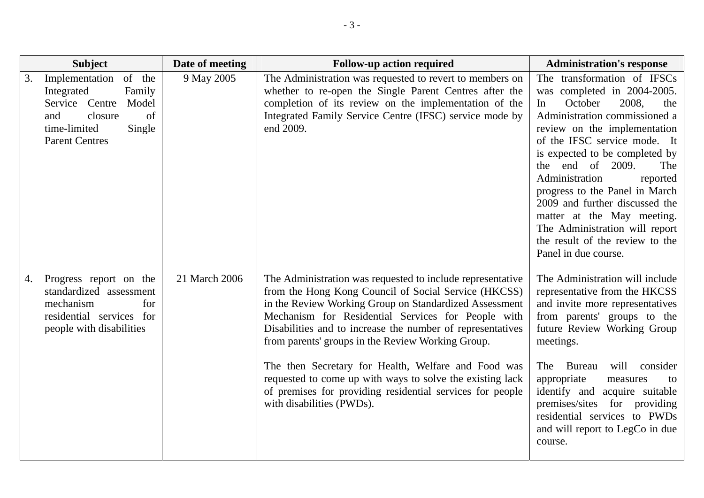| <b>Subject</b>                                                                                                                                               | Date of meeting | <b>Follow-up action required</b>                                                                                                                                                                                                                                                                                                                                                                                                                                                                                                                                    | <b>Administration's response</b>                                                                                                                                                                                                                                                                                                                                                                                                                                                       |
|--------------------------------------------------------------------------------------------------------------------------------------------------------------|-----------------|---------------------------------------------------------------------------------------------------------------------------------------------------------------------------------------------------------------------------------------------------------------------------------------------------------------------------------------------------------------------------------------------------------------------------------------------------------------------------------------------------------------------------------------------------------------------|----------------------------------------------------------------------------------------------------------------------------------------------------------------------------------------------------------------------------------------------------------------------------------------------------------------------------------------------------------------------------------------------------------------------------------------------------------------------------------------|
| Implementation<br>of the<br>3.<br>Integrated<br>Family<br>Service Centre<br>Model<br>closure<br>of<br>and<br>time-limited<br>Single<br><b>Parent Centres</b> | 9 May 2005      | The Administration was requested to revert to members on<br>whether to re-open the Single Parent Centres after the<br>completion of its review on the implementation of the<br>Integrated Family Service Centre (IFSC) service mode by<br>end 2009.                                                                                                                                                                                                                                                                                                                 | The transformation of IFSCs<br>was completed in 2004-2005.<br>October<br>2008,<br>the<br>In<br>Administration commissioned a<br>review on the implementation<br>of the IFSC service mode. It<br>is expected to be completed by<br>the end of 2009.<br>The<br>Administration<br>reported<br>progress to the Panel in March<br>2009 and further discussed the<br>matter at the May meeting.<br>The Administration will report<br>the result of the review to the<br>Panel in due course. |
| Progress report on the<br>4.<br>standardized assessment<br>mechanism<br>for<br>residential services for<br>people with disabilities                          | 21 March 2006   | The Administration was requested to include representative<br>from the Hong Kong Council of Social Service (HKCSS)<br>in the Review Working Group on Standardized Assessment<br>Mechanism for Residential Services for People with<br>Disabilities and to increase the number of representatives<br>from parents' groups in the Review Working Group.<br>The then Secretary for Health, Welfare and Food was<br>requested to come up with ways to solve the existing lack<br>of premises for providing residential services for people<br>with disabilities (PWDs). | The Administration will include<br>representative from the HKCSS<br>and invite more representatives<br>from parents' groups to the<br>future Review Working Group<br>meetings.<br>will<br>The<br>Bureau<br>consider<br>appropriate<br>measures<br>to<br>identify and<br>acquire suitable<br>premises/sites for providing<br>residential services to PWDs<br>and will report to LegCo in due<br>course.                                                                                 |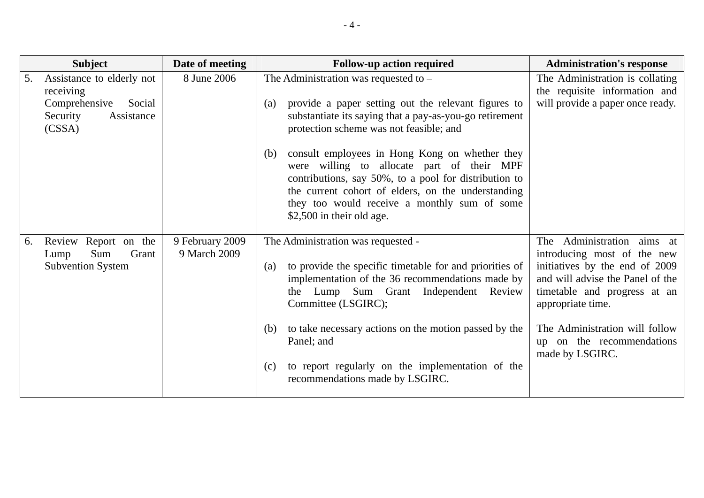| <b>Subject</b>                                                                                              | Date of meeting                 | <b>Follow-up action required</b>                                                                                                                                                                                                                                                                                                                                                                                                                                                                             | <b>Administration's response</b>                                                                                                                                                                                                                                       |
|-------------------------------------------------------------------------------------------------------------|---------------------------------|--------------------------------------------------------------------------------------------------------------------------------------------------------------------------------------------------------------------------------------------------------------------------------------------------------------------------------------------------------------------------------------------------------------------------------------------------------------------------------------------------------------|------------------------------------------------------------------------------------------------------------------------------------------------------------------------------------------------------------------------------------------------------------------------|
| Assistance to elderly not<br>5.<br>receiving<br>Comprehensive<br>Social<br>Security<br>Assistance<br>(CSSA) | 8 June 2006                     | The Administration was requested to –<br>provide a paper setting out the relevant figures to<br>(a)<br>substantiate its saying that a pay-as-you-go retirement<br>protection scheme was not feasible; and<br>consult employees in Hong Kong on whether they<br>(b)<br>were willing to allocate part of their MPF<br>contributions, say 50%, to a pool for distribution to<br>the current cohort of elders, on the understanding<br>they too would receive a monthly sum of some<br>\$2,500 in their old age. | The Administration is collating<br>the requisite information and<br>will provide a paper once ready.                                                                                                                                                                   |
| Review Report on the<br>6.<br>Grant<br>Sum<br>Lump<br><b>Subvention System</b>                              | 9 February 2009<br>9 March 2009 | The Administration was requested -<br>to provide the specific timetable for and priorities of<br>(a)<br>implementation of the 36 recommendations made by<br>the Lump Sum Grant Independent Review<br>Committee (LSGIRC);<br>to take necessary actions on the motion passed by the<br>(b)<br>Panel; and<br>to report regularly on the implementation of the<br>(c)<br>recommendations made by LSGIRC.                                                                                                         | The Administration aims at<br>introducing most of the new<br>initiatives by the end of 2009<br>and will advise the Panel of the<br>timetable and progress at an<br>appropriate time.<br>The Administration will follow<br>up on the recommendations<br>made by LSGIRC. |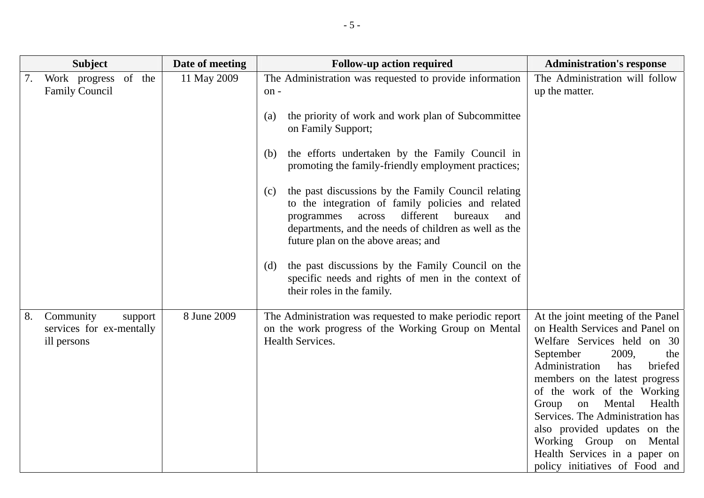|    | <b>Subject</b>                                                  | Date of meeting | <b>Follow-up action required</b>                                                                                                                                                                                                                                                                                                                                                                                                                                                                                                             | <b>Administration's response</b>                                                                                                                                                                                                                                                                                                                                                                                                          |
|----|-----------------------------------------------------------------|-----------------|----------------------------------------------------------------------------------------------------------------------------------------------------------------------------------------------------------------------------------------------------------------------------------------------------------------------------------------------------------------------------------------------------------------------------------------------------------------------------------------------------------------------------------------------|-------------------------------------------------------------------------------------------------------------------------------------------------------------------------------------------------------------------------------------------------------------------------------------------------------------------------------------------------------------------------------------------------------------------------------------------|
| 7. | Work progress of the<br><b>Family Council</b>                   | 11 May 2009     | The Administration was requested to provide information<br>on-<br>the priority of work and work plan of Subcommittee<br>(a)<br>on Family Support;<br>the efforts undertaken by the Family Council in<br>(b)<br>promoting the family-friendly employment practices;<br>the past discussions by the Family Council relating<br>(c)<br>to the integration of family policies and related<br>different<br>bureaux<br>programmes<br>across<br>and<br>departments, and the needs of children as well as the<br>future plan on the above areas; and | The Administration will follow<br>up the matter.                                                                                                                                                                                                                                                                                                                                                                                          |
|    |                                                                 |                 | the past discussions by the Family Council on the<br>(d)<br>specific needs and rights of men in the context of<br>their roles in the family.                                                                                                                                                                                                                                                                                                                                                                                                 |                                                                                                                                                                                                                                                                                                                                                                                                                                           |
| 8. | Community<br>support<br>services for ex-mentally<br>ill persons | 8 June 2009     | The Administration was requested to make periodic report<br>on the work progress of the Working Group on Mental<br>Health Services.                                                                                                                                                                                                                                                                                                                                                                                                          | At the joint meeting of the Panel<br>on Health Services and Panel on<br>Welfare Services held on 30<br>September<br>2009,<br>the<br>Administration<br>briefed<br>has<br>members on the latest progress<br>of the work of the Working<br>Mental<br>Health<br>Group<br>on<br>Services. The Administration has<br>also provided updates on the<br>Working Group on Mental<br>Health Services in a paper on<br>policy initiatives of Food and |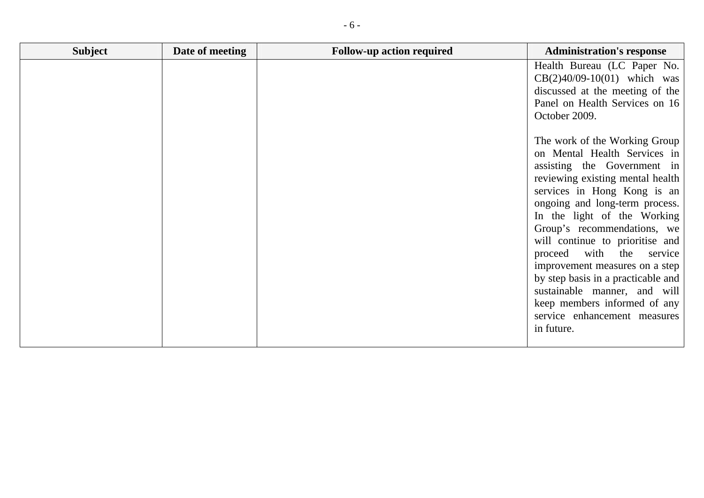|  | Health Bureau (LC Paper No.<br>$CB(2)40/09-10(01)$ which was<br>discussed at the meeting of the                                                                                                                                                                                                                                                                                                                                                                                                                            |
|--|----------------------------------------------------------------------------------------------------------------------------------------------------------------------------------------------------------------------------------------------------------------------------------------------------------------------------------------------------------------------------------------------------------------------------------------------------------------------------------------------------------------------------|
|  | Panel on Health Services on 16<br>October 2009.                                                                                                                                                                                                                                                                                                                                                                                                                                                                            |
|  | The work of the Working Group<br>on Mental Health Services in<br>assisting the Government in<br>reviewing existing mental health<br>services in Hong Kong is an<br>ongoing and long-term process.<br>In the light of the Working<br>Group's recommendations, we<br>will continue to prioritise and<br>proceed with<br>the<br>service<br>improvement measures on a step<br>by step basis in a practicable and<br>sustainable manner, and will<br>keep members informed of any<br>service enhancement measures<br>in future. |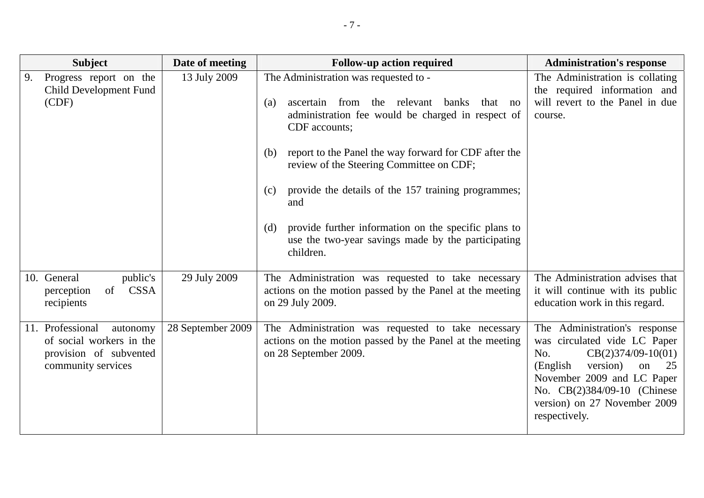| <b>Subject</b>                                                                                           | Date of meeting   | <b>Follow-up action required</b>                                                                                                                                                                                                                                                                                                                                                                                                                                                      | <b>Administration's response</b>                                                                                                                                                                                                                |
|----------------------------------------------------------------------------------------------------------|-------------------|---------------------------------------------------------------------------------------------------------------------------------------------------------------------------------------------------------------------------------------------------------------------------------------------------------------------------------------------------------------------------------------------------------------------------------------------------------------------------------------|-------------------------------------------------------------------------------------------------------------------------------------------------------------------------------------------------------------------------------------------------|
| Progress report on the<br>9.<br><b>Child Development Fund</b><br>(CDF)                                   | 13 July 2009      | The Administration was requested to -<br>ascertain from the relevant banks<br>that no<br>(a)<br>administration fee would be charged in respect of<br>CDF accounts;<br>report to the Panel the way forward for CDF after the<br>(b)<br>review of the Steering Committee on CDF;<br>provide the details of the 157 training programmes;<br>(c)<br>and<br>provide further information on the specific plans to<br>(d)<br>use the two-year savings made by the participating<br>children. | The Administration is collating<br>the required information and<br>will revert to the Panel in due<br>course.                                                                                                                                   |
| 10. General<br>public's<br><b>CSSA</b><br>of<br>perception<br>recipients                                 | 29 July 2009      | The Administration was requested to take necessary<br>actions on the motion passed by the Panel at the meeting<br>on 29 July 2009.                                                                                                                                                                                                                                                                                                                                                    | The Administration advises that<br>it will continue with its public<br>education work in this regard.                                                                                                                                           |
| 11. Professional<br>autonomy<br>of social workers in the<br>provision of subvented<br>community services | 28 September 2009 | The Administration was requested to take necessary<br>actions on the motion passed by the Panel at the meeting<br>on 28 September 2009.                                                                                                                                                                                                                                                                                                                                               | The Administration's response<br>was circulated vide LC Paper<br>$CB(2)374/09-10(01)$<br>No.<br>(English)<br>version)<br>on<br>25<br>November 2009 and LC Paper<br>No. CB(2)384/09-10 (Chinese<br>version) on 27 November 2009<br>respectively. |